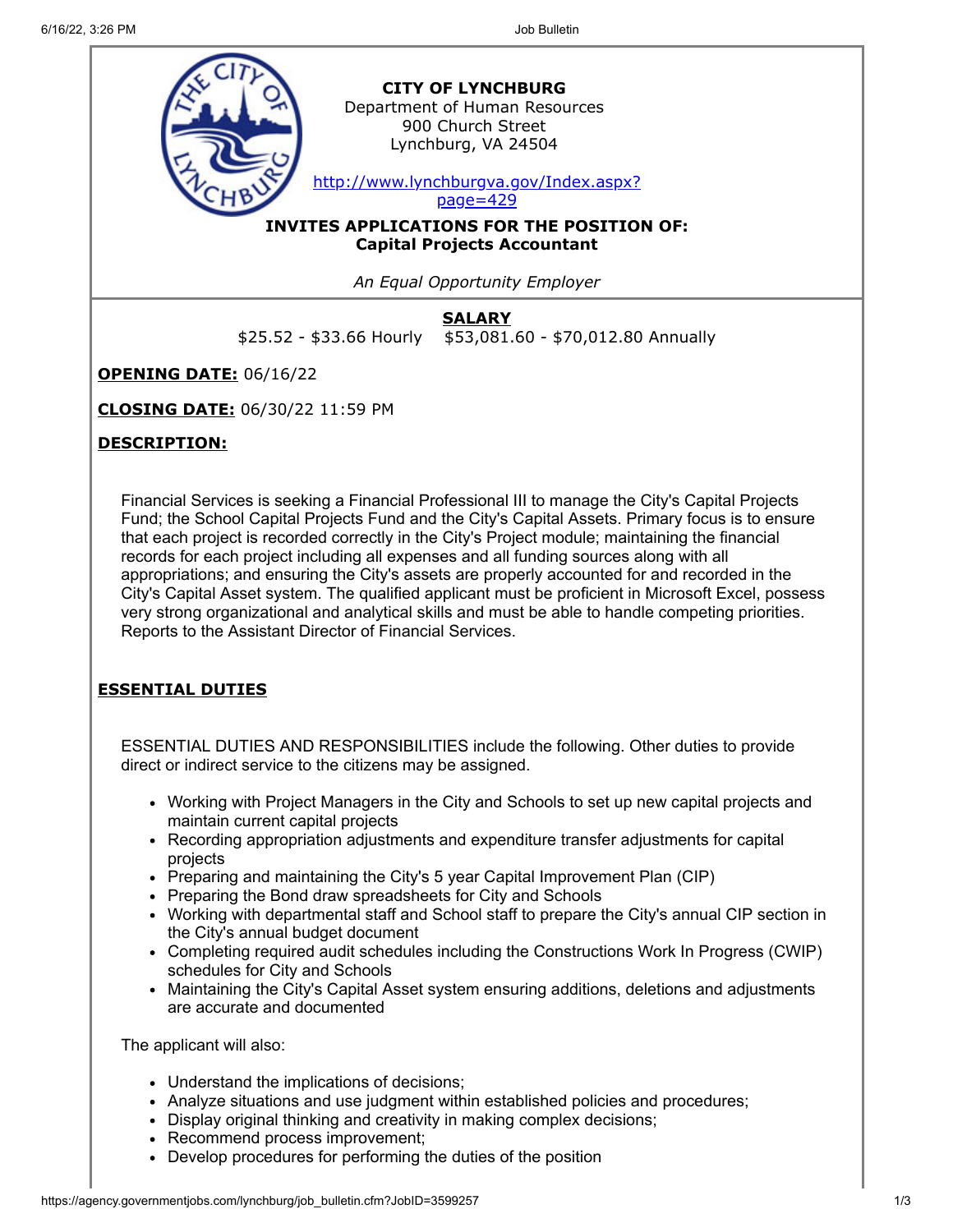

**SALARY** \$25.52 - \$33.66 Hourly \$53,081.60 - \$70,012.80 Annually

**OPENING DATE:** 06/16/22

**CLOSING DATE:** 06/30/22 11:59 PM

## **DESCRIPTION:**

Financial Services is seeking a Financial Professional III to manage the City's Capital Projects Fund; the School Capital Projects Fund and the City's Capital Assets. Primary focus is to ensure that each project is recorded correctly in the City's Project module; maintaining the financial records for each project including all expenses and all funding sources along with all appropriations; and ensuring the City's assets are properly accounted for and recorded in the City's Capital Asset system. The qualified applicant must be proficient in Microsoft Excel, possess very strong organizational and analytical skills and must be able to handle competing priorities. Reports to the Assistant Director of Financial Services.

# **ESSENTIAL DUTIES**

ESSENTIAL DUTIES AND RESPONSIBILITIES include the following. Other duties to provide direct or indirect service to the citizens may be assigned.

- Working with Project Managers in the City and Schools to set up new capital projects and maintain current capital projects
- Recording appropriation adjustments and expenditure transfer adjustments for capital projects
- Preparing and maintaining the City's 5 year Capital Improvement Plan (CIP)
- Preparing the Bond draw spreadsheets for City and Schools
- Working with departmental staff and School staff to prepare the City's annual CIP section in the City's annual budget document
- Completing required audit schedules including the Constructions Work In Progress (CWIP) schedules for City and Schools
- Maintaining the City's Capital Asset system ensuring additions, deletions and adjustments are accurate and documented

The applicant will also:

- Understand the implications of decisions;
- Analyze situations and use judgment within established policies and procedures;
- Display original thinking and creativity in making complex decisions;
- Recommend process improvement;
- Develop procedures for performing the duties of the position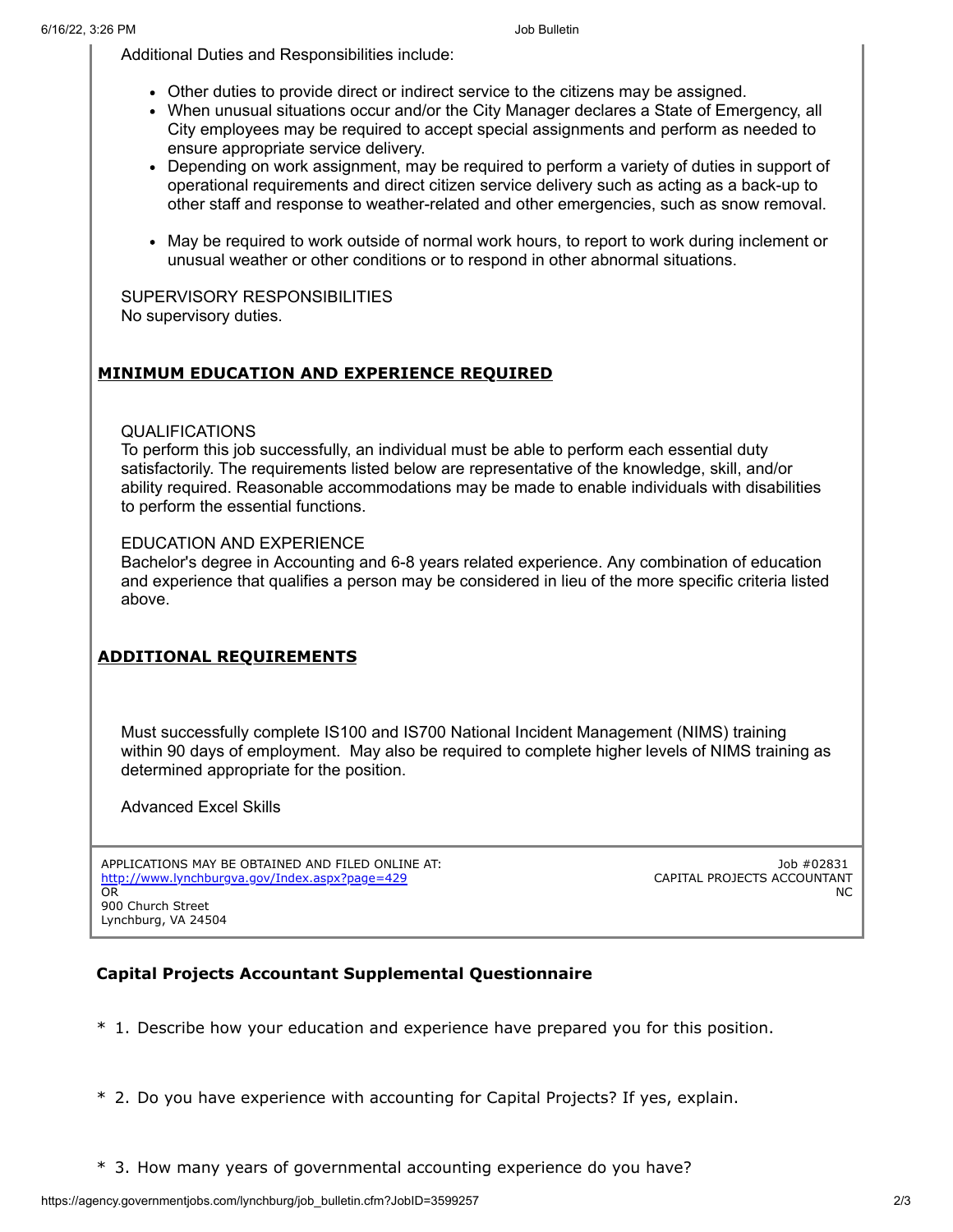Additional Duties and Responsibilities include:

- Other duties to provide direct or indirect service to the citizens may be assigned.
- When unusual situations occur and/or the City Manager declares a State of Emergency, all City employees may be required to accept special assignments and perform as needed to ensure appropriate service delivery.
- Depending on work assignment, may be required to perform a variety of duties in support of operational requirements and direct citizen service delivery such as acting as a back-up to other staff and response to weather-related and other emergencies, such as snow removal.
- May be required to work outside of normal work hours, to report to work during inclement or unusual weather or other conditions or to respond in other abnormal situations.

SUPERVISORY RESPONSIBILITIES No supervisory duties.

## **MINIMUM EDUCATION AND EXPERIENCE REQUIRED**

### QUALIFICATIONS

To perform this job successfully, an individual must be able to perform each essential duty satisfactorily. The requirements listed below are representative of the knowledge, skill, and/or ability required. Reasonable accommodations may be made to enable individuals with disabilities to perform the essential functions.

### EDUCATION AND EXPERIENCE

Bachelor's degree in Accounting and 6-8 years related experience. Any combination of education and experience that qualifies a person may be considered in lieu of the more specific criteria listed above.

## **ADDITIONAL REQUIREMENTS**

Must successfully complete IS100 and IS700 National Incident Management (NIMS) training within 90 days of employment. May also be required to complete higher levels of NIMS training as determined appropriate for the position.

Advanced Excel Skills

APPLICATIONS MAY BE OBTAINED AND FILED ONLINE AT: <http://www.lynchburgva.gov/Index.aspx?page=429> OR 900 Church Street Lynchburg, VA 24504

Job #02831 CAPITAL PROJECTS ACCOUNTANT NC

## **Capital Projects Accountant Supplemental Questionnaire**

- \* 1. Describe how your education and experience have prepared you for this position.
- \* 2. Do you have experience with accounting for Capital Projects? If yes, explain.
- \* 3. How many years of governmental accounting experience do you have?